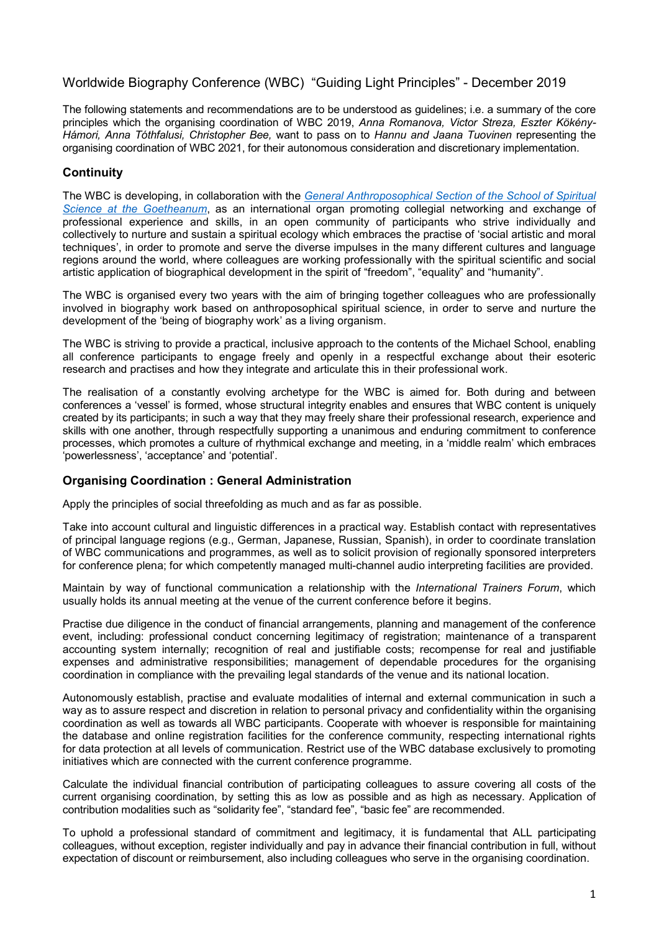# Worldwide Biography Conference (WBC) "Guiding Light Principles" - December 2019

The following statements and recommendations are to be understood as guidelines; i.e. a summary of the core principles which the organising coordination of WBC 2019, *Anna Romanova, Victor Streza, Eszter Kökény-Hámori, Anna Tóthfalusi, Christopher Bee,* want to pass on to *Hannu and Jaana Tuovinen* representing the organising coordination of WBC 2021, for their autonomous consideration and discretionary implementation.

# **Continuity**

The WBC is developing, in collaboration with the *[General Anthroposophical Section of the School of Spiritual](https://goetheanum.co/en/school/biography-work)  [Science at the Goetheanum](https://goetheanum.co/en/school/biography-work)*, as an international organ promoting collegial networking and exchange of professional experience and skills, in an open community of participants who strive individually and collectively to nurture and sustain a spiritual ecology which embraces the practise of 'social artistic and moral techniques', in order to promote and serve the diverse impulses in the many different cultures and language regions around the world, where colleagues are working professionally with the spiritual scientific and social artistic application of biographical development in the spirit of "freedom", "equality" and "humanity".

The WBC is organised every two years with the aim of bringing together colleagues who are professionally involved in biography work based on anthroposophical spiritual science, in order to serve and nurture the development of the 'being of biography work' as a living organism.

The WBC is striving to provide a practical, inclusive approach to the contents of the Michael School, enabling all conference participants to engage freely and openly in a respectful exchange about their esoteric research and practises and how they integrate and articulate this in their professional work.

The realisation of a constantly evolving archetype for the WBC is aimed for. Both during and between conferences a 'vessel' is formed, whose structural integrity enables and ensures that WBC content is uniquely created by its participants; in such a way that they may freely share their professional research, experience and skills with one another, through respectfully supporting a unanimous and enduring commitment to conference processes, which promotes a culture of rhythmical exchange and meeting, in a 'middle realm' which embraces 'powerlessness', 'acceptance' and 'potential'.

#### **Organising Coordination : General Administration**

Apply the principles of social threefolding as much and as far as possible.

Take into account cultural and linguistic differences in a practical way. Establish contact with representatives of principal language regions (e.g., German, Japanese, Russian, Spanish), in order to coordinate translation of WBC communications and programmes, as well as to solicit provision of regionally sponsored interpreters for conference plena; for which competently managed multi-channel audio interpreting facilities are provided.

Maintain by way of functional communication a relationship with the *International Trainers Forum*, which usually holds its annual meeting at the venue of the current conference before it begins.

Practise due diligence in the conduct of financial arrangements, planning and management of the conference event, including: professional conduct concerning legitimacy of registration; maintenance of a transparent accounting system internally; recognition of real and justifiable costs; recompense for real and justifiable expenses and administrative responsibilities; management of dependable procedures for the organising coordination in compliance with the prevailing legal standards of the venue and its national location.

Autonomously establish, practise and evaluate modalities of internal and external communication in such a way as to assure respect and discretion in relation to personal privacy and confidentiality within the organising coordination as well as towards all WBC participants. Cooperate with whoever is responsible for maintaining the database and online registration facilities for the conference community, respecting international rights for data protection at all levels of communication. Restrict use of the WBC database exclusively to promoting initiatives which are connected with the current conference programme.

Calculate the individual financial contribution of participating colleagues to assure covering all costs of the current organising coordination, by setting this as low as possible and as high as necessary. Application of contribution modalities such as "solidarity fee", "standard fee", "basic fee" are recommended.

To uphold a professional standard of commitment and legitimacy, it is fundamental that ALL participating colleagues, without exception, register individually and pay in advance their financial contribution in full, without expectation of discount or reimbursement, also including colleagues who serve in the organising coordination.